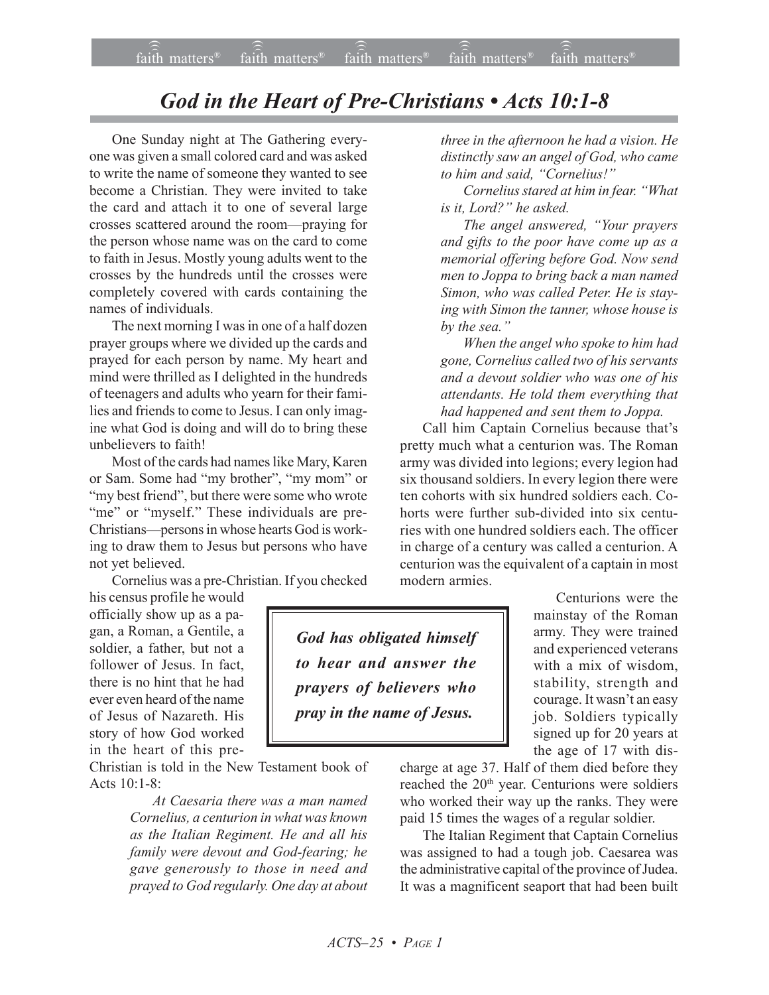## *God in the Heart of Pre-Christians • Acts 10:1-8*

One Sunday night at The Gathering everyone was given a small colored card and was asked to write the name of someone they wanted to see become a Christian. They were invited to take the card and attach it to one of several large crosses scattered around the room—praying for the person whose name was on the card to come to faith in Jesus. Mostly young adults went to the crosses by the hundreds until the crosses were completely covered with cards containing the names of individuals.

The next morning I was in one of a half dozen prayer groups where we divided up the cards and prayed for each person by name. My heart and mind were thrilled as I delighted in the hundreds of teenagers and adults who yearn for their families and friends to come to Jesus. I can only imagine what God is doing and will do to bring these unbelievers to faith!

Most of the cards had names like Mary, Karen or Sam. Some had "my brother", "my mom" or "my best friend", but there were some who wrote "me" or "myself." These individuals are pre-Christians—persons in whose hearts God is working to draw them to Jesus but persons who have not yet believed.

Cornelius was a pre-Christian. If you checked

his census profile he would officially show up as a pagan, a Roman, a Gentile, a soldier, a father, but not a follower of Jesus. In fact, there is no hint that he had ever even heard of the name of Jesus of Nazareth. His story of how God worked in the heart of this pre-

Christian is told in the New Testament book of Acts  $10.1 - 8$ 

> *At Caesaria there was a man named Cornelius, a centurion in what was known as the Italian Regiment. He and all his family were devout and God-fearing; he gave generously to those in need and prayed to God regularly. One day at about*

*three in the afternoon he had a vision. He distinctly saw an angel of God, who came to him and said, "Cornelius!"*

*Cornelius stared at him in fear. "What is it, Lord?" he asked.*

*The angel answered, "Your prayers and gifts to the poor have come up as a memorial offering before God. Now send men to Joppa to bring back a man named Simon, who was called Peter. He is staying with Simon the tanner, whose house is by the sea."*

*When the angel who spoke to him had gone, Cornelius called two of his servants and a devout soldier who was one of his attendants. He told them everything that had happened and sent them to Joppa.*

Call him Captain Cornelius because that's pretty much what a centurion was. The Roman army was divided into legions; every legion had six thousand soldiers. In every legion there were ten cohorts with six hundred soldiers each. Cohorts were further sub-divided into six centuries with one hundred soldiers each. The officer in charge of a century was called a centurion. A centurion was the equivalent of a captain in most modern armies.

> Centurions were the mainstay of the Roman army. They were trained and experienced veterans with a mix of wisdom, stability, strength and courage. It wasn't an easy job. Soldiers typically signed up for 20 years at the age of 17 with dis-

charge at age 37. Half of them died before they reached the 20<sup>th</sup> year. Centurions were soldiers who worked their way up the ranks. They were paid 15 times the wages of a regular soldier.

The Italian Regiment that Captain Cornelius was assigned to had a tough job. Caesarea was the administrative capital of the province of Judea. It was a magnificent seaport that had been built

*God has obligated himself to hear and answer the prayers of believers who pray in the name of Jesus.*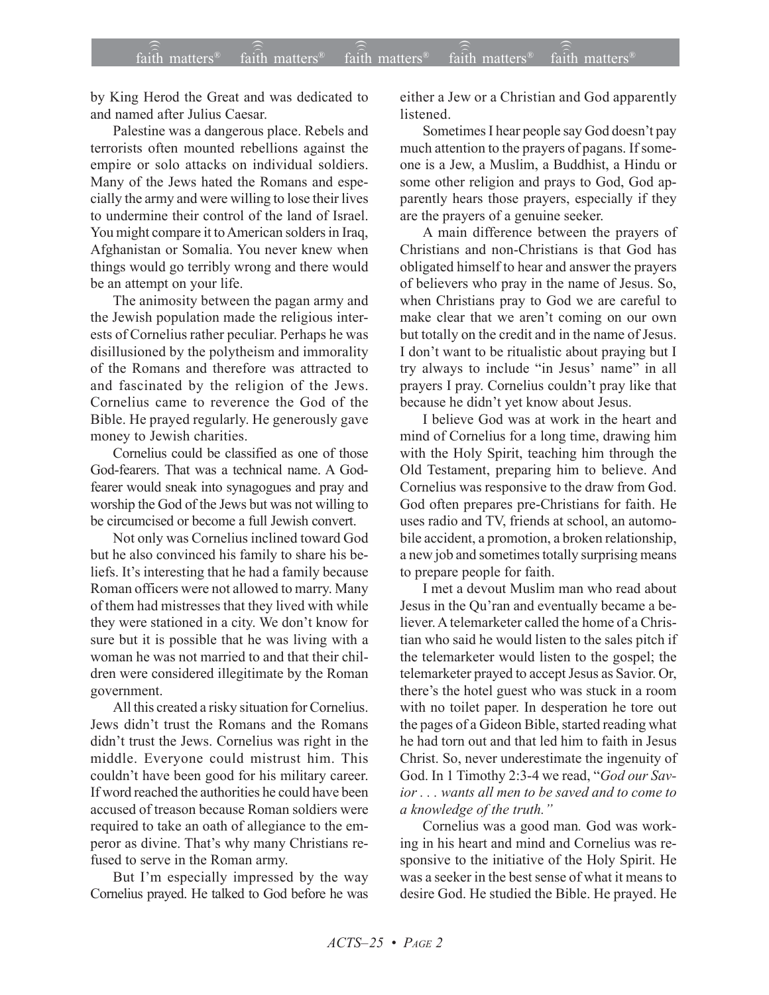by King Herod the Great and was dedicated to and named after Julius Caesar.

Palestine was a dangerous place. Rebels and terrorists often mounted rebellions against the empire or solo attacks on individual soldiers. Many of the Jews hated the Romans and especially the army and were willing to lose their lives to undermine their control of the land of Israel. You might compare it to American solders in Iraq, Afghanistan or Somalia. You never knew when things would go terribly wrong and there would be an attempt on your life.

The animosity between the pagan army and the Jewish population made the religious interests of Cornelius rather peculiar. Perhaps he was disillusioned by the polytheism and immorality of the Romans and therefore was attracted to and fascinated by the religion of the Jews. Cornelius came to reverence the God of the Bible. He prayed regularly. He generously gave money to Jewish charities.

Cornelius could be classified as one of those God-fearers. That was a technical name. A Godfearer would sneak into synagogues and pray and worship the God of the Jews but was not willing to be circumcised or become a full Jewish convert.

Not only was Cornelius inclined toward God but he also convinced his family to share his beliefs. It's interesting that he had a family because Roman officers were not allowed to marry. Many of them had mistresses that they lived with while they were stationed in a city. We don't know for sure but it is possible that he was living with a woman he was not married to and that their children were considered illegitimate by the Roman government.

All this created a risky situation for Cornelius. Jews didn't trust the Romans and the Romans didn't trust the Jews. Cornelius was right in the middle. Everyone could mistrust him. This couldn't have been good for his military career. If word reached the authorities he could have been accused of treason because Roman soldiers were required to take an oath of allegiance to the emperor as divine. That's why many Christians refused to serve in the Roman army.

But I'm especially impressed by the way Cornelius prayed. He talked to God before he was either a Jew or a Christian and God apparently **listened** 

Sometimes I hear people say God doesn't pay much attention to the prayers of pagans. If someone is a Jew, a Muslim, a Buddhist, a Hindu or some other religion and prays to God, God apparently hears those prayers, especially if they are the prayers of a genuine seeker.

A main difference between the prayers of Christians and non-Christians is that God has obligated himself to hear and answer the prayers of believers who pray in the name of Jesus. So, when Christians pray to God we are careful to make clear that we aren't coming on our own but totally on the credit and in the name of Jesus. I don't want to be ritualistic about praying but I try always to include "in Jesus' name" in all prayers I pray. Cornelius couldn't pray like that because he didn't yet know about Jesus.

I believe God was at work in the heart and mind of Cornelius for a long time, drawing him with the Holy Spirit, teaching him through the Old Testament, preparing him to believe. And Cornelius was responsive to the draw from God. God often prepares pre-Christians for faith. He uses radio and TV, friends at school, an automobile accident, a promotion, a broken relationship, a new job and sometimes totally surprising means to prepare people for faith.

I met a devout Muslim man who read about Jesus in the Qu'ran and eventually became a believer. A telemarketer called the home of a Christian who said he would listen to the sales pitch if the telemarketer would listen to the gospel; the telemarketer prayed to accept Jesus as Savior. Or, there's the hotel guest who was stuck in a room with no toilet paper. In desperation he tore out the pages of a Gideon Bible, started reading what he had torn out and that led him to faith in Jesus Christ. So, never underestimate the ingenuity of God. In 1 Timothy 2:3-4 we read, "*God our Savior . . . wants all men to be saved and to come to a knowledge of the truth."*

Cornelius was a good man*.* God was working in his heart and mind and Cornelius was responsive to the initiative of the Holy Spirit. He was a seeker in the best sense of what it means to desire God. He studied the Bible. He prayed. He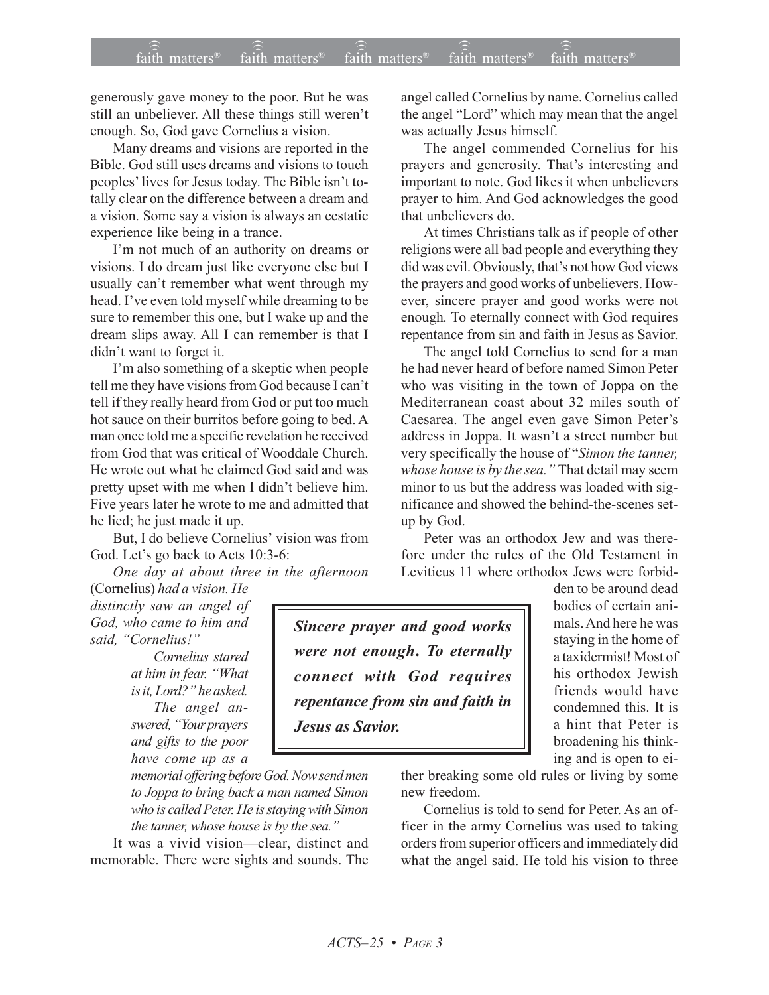## $f$ aith matters<sup>®</sup> faith matters® if  $\widehat{\widehat{\widehat{\mathfrak{a}}}}$  matters® if  $\widehat{\widehat{\widehat{\mathfrak{a}}}}$  matters® if  $\widehat{\widehat{\mathfrak{a}^{\text{th}}}$  matters® faith matters<sup>®</sup> faith matters<sup>®</sup>  $\widehat{f}$ aith matters<sup>®</sup>

generously gave money to the poor. But he was still an unbeliever. All these things still weren't enough. So, God gave Cornelius a vision.

Many dreams and visions are reported in the Bible. God still uses dreams and visions to touch peoples' lives for Jesus today. The Bible isn't totally clear on the difference between a dream and a vision. Some say a vision is always an ecstatic experience like being in a trance.

I'm not much of an authority on dreams or visions. I do dream just like everyone else but I usually can't remember what went through my head. I've even told myself while dreaming to be sure to remember this one, but I wake up and the dream slips away. All I can remember is that I didn't want to forget it.

I'm also something of a skeptic when people tell me they have visions from God because I can't tell if they really heard from God or put too much hot sauce on their burritos before going to bed. A man once told me a specific revelation he received from God that was critical of Wooddale Church. He wrote out what he claimed God said and was pretty upset with me when I didn't believe him. Five years later he wrote to me and admitted that he lied; he just made it up.

But, I do believe Cornelius' vision was from God. Let's go back to Acts 10:3-6:

*One day at about three in the afternoon* (Cornelius) *had a vision. He*

*distinctly saw an angel of God, who came to him and said, "Cornelius!"*

> *Cornelius stared at him in fear. "What is it, Lord?" he asked. The angel answered, "Your prayers and gifts to the poor have come up as a*

*memorial offering before God. Now send men to Joppa to bring back a man named Simon who is called Peter. He is staying with Simon the tanner, whose house is by the sea."*

It was a vivid vision—clear, distinct and memorable. There were sights and sounds. The angel called Cornelius by name. Cornelius called the angel "Lord" which may mean that the angel was actually Jesus himself.

The angel commended Cornelius for his prayers and generosity. That's interesting and important to note. God likes it when unbelievers prayer to him. And God acknowledges the good that unbelievers do.

At times Christians talk as if people of other religions were all bad people and everything they did was evil. Obviously, that's not how God views the prayers and good works of unbelievers. However, sincere prayer and good works were not enough*.* To eternally connect with God requires repentance from sin and faith in Jesus as Savior.

The angel told Cornelius to send for a man he had never heard of before named Simon Peter who was visiting in the town of Joppa on the Mediterranean coast about 32 miles south of Caesarea. The angel even gave Simon Peter's address in Joppa. It wasn't a street number but very specifically the house of "*Simon the tanner, whose house is by the sea."* That detail may seem minor to us but the address was loaded with significance and showed the behind-the-scenes setup by God.

Peter was an orthodox Jew and was therefore under the rules of the Old Testament in Leviticus 11 where orthodox Jews were forbid-

*Sincere prayer and good works were not enough***.** *To eternally connect with God requires repentance from sin and faith in Jesus as Savior.*

den to be around dead bodies of certain animals. And here he was staying in the home of a taxidermist! Most of his orthodox Jewish friends would have condemned this. It is a hint that Peter is broadening his thinking and is open to ei-

ther breaking some old rules or living by some new freedom.

Cornelius is told to send for Peter. As an officer in the army Cornelius was used to taking orders from superior officers and immediately did what the angel said. He told his vision to three